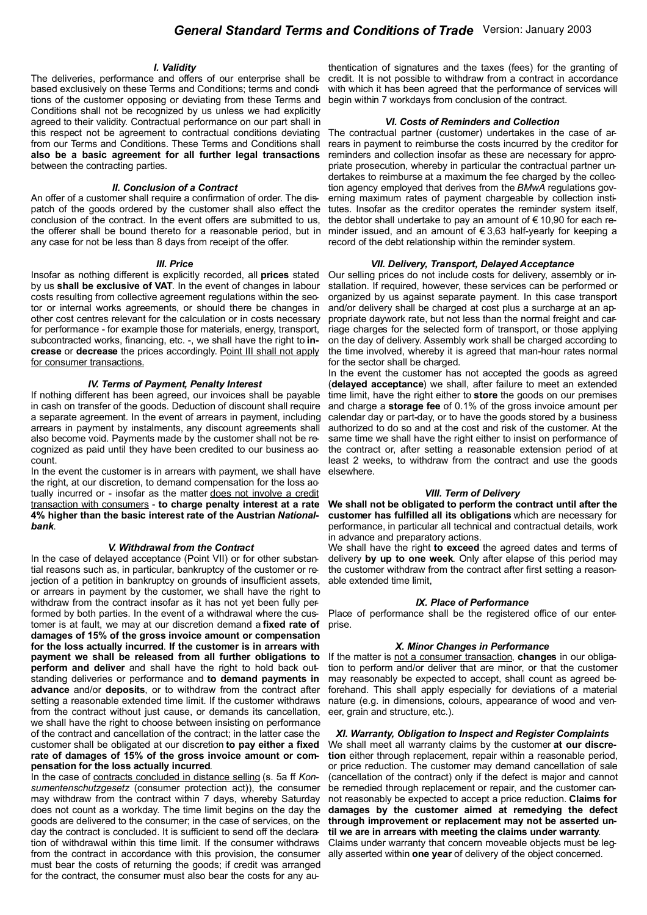# *I. Validity*

The deliveries, performance and offers of our enterprise shall be based exclusively on these Terms and Conditions; terms and conditions of the customer opposing or deviating from these Terms and Conditions shall not be recognized by us unless we had explicitly agreed to their validity. Contractual performance on our part shall in this respect not be agreement to contractual conditions deviating from our Terms and Conditions. These Terms and Conditions shall **also be a basic agreement for all further legal transactions** between the contracting parties.

### *II. Conclusion of a Contract*

An offer of a customer shall require a confirmation of order. The dispatch of the goods ordered by the customer shall also effect the conclusion of the contract. In the event offers are submitted to us, the offerer shall be bound thereto for a reasonable period, but in any case for not be less than 8 days from receipt of the offer.

### *III. Price*

Insofar as nothing different is explicitly recorded, all **prices** stated by us **shall be exclusive of VAT**. In the event of changes in labour costs resulting from collective agreement regulations within the sector or internal works agreements, or should there be changes in other cost centres relevant for the calculation or in costs necessary for performance - for example those for materials, energy, transport, subcontracted works, financing, etc. -, we shall have the right to **increase** or **decrease** the prices accordingly. Point III shall not apply for consumer transactions.

### *IV. Terms of Payment, Penalty Interest*

If nothing different has been agreed, our invoices shall be payable in cash on transfer of the goods. Deduction of discount shall require a separate agreement. In the event of arrears in payment, including arrears in payment by instalments, any discount agreements shall also become void. Payments made by the customer shall not be recognized as paid until they have been credited to our business account.

In the event the customer is in arrears with payment, we shall have the right, at our discretion, to demand compensation for the loss actually incurred or - insofar as the matter does not involve a credit transaction with consumers - **to charge penalty interest at a rate 4% higher than the basic interest rate of the Austrian** *Nationalbank*.

#### *V. Withdrawal from the Contract*

In the case of delayed acceptance (Point VII) or for other substantial reasons such as, in particular, bankruptcy of the customer or rejection of a petition in bankruptcy on grounds of insufficient assets, or arrears in payment by the customer, we shall have the right to withdraw from the contract insofar as it has not yet been fully performed by both parties. In the event of a withdrawal where the customer is at fault, we may at our discretion demand a **fixed rate of damages of 15% of the gross invoice amount or compensation for the loss actually incurred**. **If the customer is in arrears with payment we shall be released from all further obligations to perform and deliver** and shall have the right to hold back outstanding deliveries or performance and **to demand payments in advance** and/or **deposits**, or to withdraw from the contract after setting a reasonable extended time limit. If the customer withdraws from the contract without just cause, or demands its cancellation, we shall have the right to choose between insisting on performance of the contract and cancellation of the contract; in the latter case the customer shall be obligated at our discretion **to pay either a fixed rate of damages of 15% of the gross invoice amount or compensation for the loss actually incurred**.

In the case of contracts concluded in distance selling (s. 5a ff *Konsumentenschutzgesetz* (consumer protection act)), the consumer may withdraw from the contract within 7 days, whereby Saturday does not count as a workday. The time limit begins on the day the goods are delivered to the consumer; in the case of services, on the day the contract is concluded. It is sufficient to send off the declaration of withdrawal within this time limit. If the consumer withdraws from the contract in accordance with this provision, the consumer must bear the costs of returning the goods; if credit was arranged for the contract, the consumer must also bear the costs for any au-

thentication of signatures and the taxes (fees) for the granting of credit. It is not possible to withdraw from a contract in accordance with which it has been agreed that the performance of services will begin within 7 workdays from conclusion of the contract.

#### *VI. Costs of Reminders and Collection*

The contractual partner (customer) undertakes in the case of arrears in payment to reimburse the costs incurred by the creditor for reminders and collection insofar as these are necessary for appropriate prosecution, whereby in particular the contractual partner undertakes to reimburse at a maximum the fee charged by the collection agency employed that derives from the *BMwA* regulations governing maximum rates of payment chargeable by collection institutes. Insofar as the creditor operates the reminder system itself, the debtor shall undertake to pay an amount of  $\epsilon$  10,90 for each reminder issued, and an amount of € 3,63 half-yearly for keeping a record of the debt relationship within the reminder system.

#### *VII. Delivery, Transport, Delayed Acceptance*

Our selling prices do not include costs for delivery, assembly or installation. If required, however, these services can be performed or organized by us against separate payment. In this case transport and/or delivery shall be charged at cost plus a surcharge at an appropriate daywork rate, but not less than the normal freight and carriage charges for the selected form of transport, or those applying on the day of delivery. Assembly work shall be charged according to the time involved, whereby it is agreed that man-hour rates normal for the sector shall be charged.

In the event the customer has not accepted the goods as agreed (**delayed acceptance**) we shall, after failure to meet an extended time limit, have the right either to **store** the goods on our premises and charge a **storage fee** of 0.1% of the gross invoice amount per calendar day or part-day, or to have the goods stored by a business authorized to do so and at the cost and risk of the customer. At the same time we shall have the right either to insist on performance of the contract or, after setting a reasonable extension period of at least 2 weeks, to withdraw from the contract and use the goods elsewhere.

#### *VIII. Term of Delivery*

**We shall not be obligated to perform the contract until after the customer has fulfilled all its obligations** which are necessary for performance, in particular all technical and contractual details, work in advance and preparatory actions.

We shall have the right **to exceed** the agreed dates and terms of delivery **by up to one week**. Only after elapse of this period may the customer withdraw from the contract after first setting a reasonable extended time limit,

### *IX. Place of Performance*

Place of performance shall be the registered office of our enterprise.

## *X. Minor Changes in Performance*

If the matter is not a consumer transaction, **changes** in our obligation to perform and/or deliver that are minor, or that the customer may reasonably be expected to accept, shall count as agreed beforehand. This shall apply especially for deviations of a material nature (e.g. in dimensions, colours, appearance of wood and veneer, grain and structure, etc.).

# *XI. Warranty, Obligation to Inspect and Register Complaints*

We shall meet all warranty claims by the customer **at our discretion** either through replacement, repair within a reasonable period, or price reduction. The customer may demand cancellation of sale (cancellation of the contract) only if the defect is major and cannot be remedied through replacement or repair, and the customer cannot reasonably be expected to accept a price reduction. **Claims for damages by the customer aimed at remedying the defect through improvement or replacement may not be asserted until we are in arrears with meeting the claims under warranty**. Claims under warranty that concern moveable objects must be legally asserted within **one year** of delivery of the object concerned.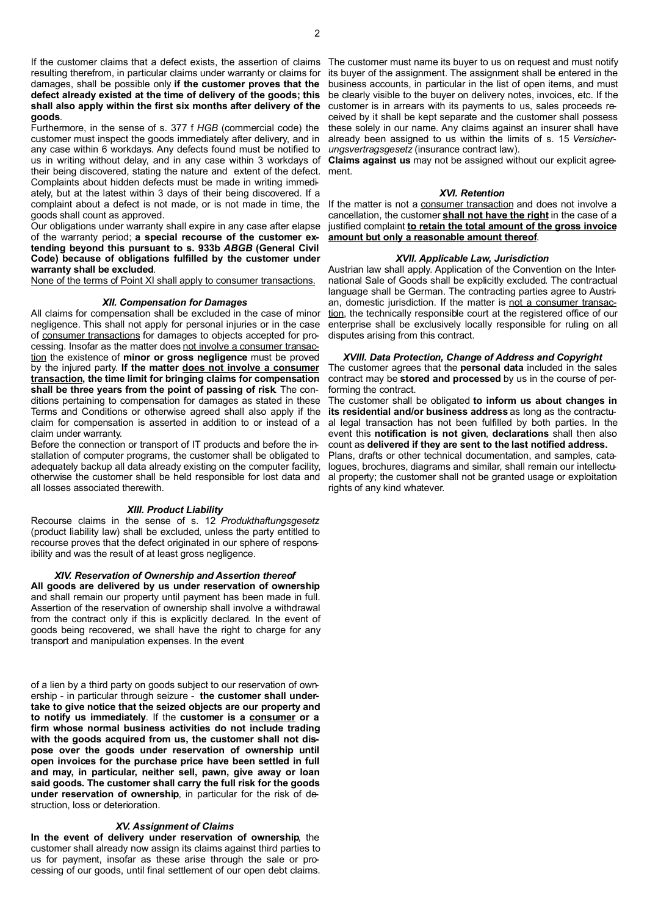2

If the customer claims that a defect exists, the assertion of claims The customer must name its buyer to us on request and must notify resulting therefrom, in particular claims under warranty or claims for damages, shall be possible only **if the customer proves that the defect already existed at the time of delivery of the goods; this shall also apply within the first six months after delivery of the goods**.

Furthermore, in the sense of s. 377 f *HGB* (commercial code) the customer must inspect the goods immediately after delivery, and in any case within 6 workdays. Any defects found must be notified to us in writing without delay, and in any case within 3 workdays of their being discovered, stating the nature and extent of the defect. ment. Complaints about hidden defects must be made in writing immediately, but at the latest within 3 days of their being discovered. If a complaint about a defect is not made, or is not made in time, the If the matter is not a consumer transaction and does not involve a goods shall count as approved.

Our obligations under warranty shall expire in any case after elapse of the warranty period; **a special recourse of the customer extending beyond this pursuant to s. 933b** *ABGB* **(General Civil Code) because of obligations fulfilled by the customer under warranty shall be excluded**.

None of the terms of Point XI shall apply to consumer transactions.

# *XII. Compensation for Damages*

All claims for compensation shall be excluded in the case of minor negligence. This shall not apply for personal injuries or in the case of consumer transactions for damages to objects accepted for processing. Insofar as the matter does not involve a consumer transaction the existence of **minor or gross negligence** must be proved by the injured party. **If the matter does not involve a consumer transaction, the time limit for bringing claims for compensation shall be three years from the point of passing of risk**. The conditions pertaining to compensation for damages as stated in these Terms and Conditions or otherwise agreed shall also apply if the claim for compensation is asserted in addition to or instead of a claim under warranty.

Before the connection or transport of IT products and before the installation of computer programs, the customer shall be obligated to adequately backup all data already existing on the computer facility, otherwise the customer shall be held responsible for lost data and all losses associated therewith.

# *XIII. Product Liability*

Recourse claims in the sense of s. 12 *Produkthaftungsgesetz* (product liability law) shall be excluded, unless the party entitled to recourse proves that the defect originated in our sphere of responsibility and was the result of at least gross negligence.

# *XIV. Reservation of Ownership and Assertion thereof*

**All goods are delivered by us under reservation of ownership** and shall remain our property until payment has been made in full. Assertion of the reservation of ownership shall involve a withdrawal from the contract only if this is explicitly declared. In the event of goods being recovered, we shall have the right to charge for any transport and manipulation expenses. In the event

of a lien by a third party on goods subject to our reservation of ownership - in particular through seizure - **the customer shall undertake to give notice that the seized objects are our property and to notify us immediately**. If the **customer is a consumer or a firm whose normal business activities do not include trading with the goods acquired from us, the customer shall not dispose over the goods under reservation of ownership until open invoices for the purchase price have been settled in full and may, in particular, neither sell, pawn, give away or loan said goods. The customer shall carry the full risk for the goods under reservation of ownership**, in particular for the risk of destruction, loss or deterioration.

# *XV. Assignment of Claims*

**In the event of delivery under reservation of ownership**, the customer shall already now assign its claims against third parties to us for payment, insofar as these arise through the sale or processing of our goods, until final settlement of our open debt claims.

its buyer of the assignment. The assignment shall be entered in the business accounts, in particular in the list of open items, and must be clearly visible to the buyer on delivery notes, invoices, etc. If the customer is in arrears with its payments to us, sales proceeds received by it shall be kept separate and the customer shall possess these solely in our name. Any claims against an insurer shall have already been assigned to us within the limits of s. 15 *Versicherungsvertragsgesetz* (insurance contract law).

**Claims against us** may not be assigned without our explicit agree-

### *XVI. Retention*

cancellation, the customer **shall not have the right** in the case of a justified complaint **to retain the total amount of the gross invoice amount but only a reasonable amount thereof**.

# *XVII. Applicable Law, Jurisdiction*

Austrian law shall apply. Application of the Convention on the International Sale of Goods shall be explicitly excluded. The contractual language shall be German. The contracting parties agree to Austrian, domestic jurisdiction. If the matter is not a consumer transaction, the technically responsible court at the registered office of our enterprise shall be exclusively locally responsible for ruling on all disputes arising from this contract.

# *XVIII. Data Protection, Change of Address and Copyright*

The customer agrees that the **personal data** included in the sales contract may be **stored and processed** by us in the course of performing the contract.

The customer shall be obligated **to inform us about changes in its residential and/or business address** as long as the contractual legal transaction has not been fulfilled by both parties. In the event this **notification is not given**, **declarations** shall then also count as **delivered if they are sent to the last notified address.**

Plans, drafts or other technical documentation, and samples, catalogues, brochures, diagrams and similar, shall remain our intellectual property; the customer shall not be granted usage or exploitation rights of any kind whatever.